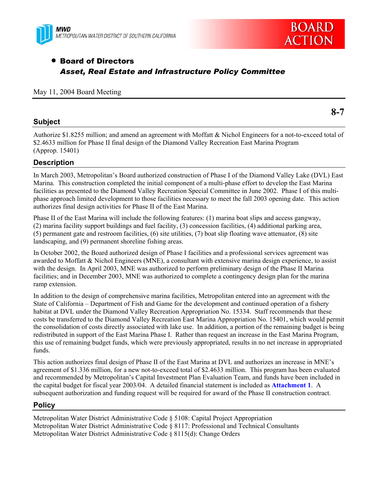



## • Board of Directors *Asset, Real Estate and Infrastructure Policy Committee*

#### May 11, 2004 Board Meeting

#### **Subject**

**8-7** 

Authorize \$1.8255 million; and amend an agreement with Moffatt & Nichol Engineers for a not-to-exceed total of \$2.4633 million for Phase II final design of the Diamond Valley Recreation East Marina Program (Approp. 15401)

#### **Description**

In March 2003, Metropolitan's Board authorized construction of Phase I of the Diamond Valley Lake (DVL) East Marina. This construction completed the initial component of a multi-phase effort to develop the East Marina facilities as presented to the Diamond Valley Recreation Special Committee in June 2002. Phase I of this multiphase approach limited development to those facilities necessary to meet the fall 2003 opening date. This action authorizes final design activities for Phase II of the East Marina.

Phase II of the East Marina will include the following features: (1) marina boat slips and access gangway, (2) marina facility support buildings and fuel facility, (3) concession facilities, (4) additional parking area, (5) permanent gate and restroom facilities, (6) site utilities, (7) boat slip floating wave attenuator, (8) site landscaping, and (9) permanent shoreline fishing areas.

In October 2002, the Board authorized design of Phase I facilities and a professional services agreement was awarded to Moffatt & Nichol Engineers (MNE), a consultant with extensive marina design experience, to assist with the design. In April 2003, MNE was authorized to perform preliminary design of the Phase II Marina facilities; and in December 2003, MNE was authorized to complete a contingency design plan for the marina ramp extension.

In addition to the design of comprehensive marina facilities, Metropolitan entered into an agreement with the State of California – Department of Fish and Game for the development and continued operation of a fishery habitat at DVL under the Diamond Valley Recreation Appropriation No. 15334. Staff recommends that these costs be transferred to the Diamond Valley Recreation East Marina Appropriation No. 15401, which would permit the consolidation of costs directly associated with lake use. In addition, a portion of the remaining budget is being redistributed in support of the East Marina Phase I. Rather than request an increase in the East Marina Program, this use of remaining budget funds, which were previously appropriated, results in no net increase in appropriated funds.

This action authorizes final design of Phase II of the East Marina at DVL and authorizes an increase in MNE's agreement of \$1.336 million, for a new not-to-exceed total of \$2.4633 million. This program has been evaluated and recommended by Metropolitan's Capital Investment Plan Evaluation Team, and funds have been included in the capital budget for fiscal year 2003/04. A detailed financial statement is included as **Attachment 1**. A subsequent authorization and funding request will be required for award of the Phase II construction contract.

### **Policy**

Metropolitan Water District Administrative Code § 5108: Capital Project Appropriation Metropolitan Water District Administrative Code § 8117: Professional and Technical Consultants Metropolitan Water District Administrative Code § 8115(d): Change Orders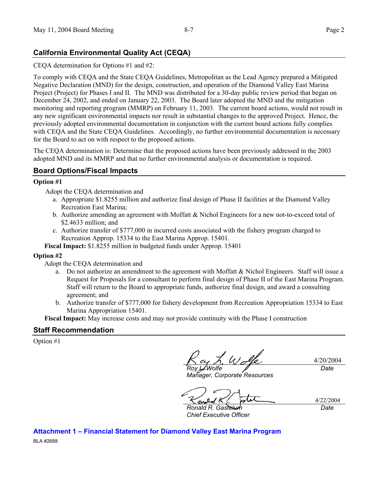## **California Environmental Quality Act (CEQA)**

CEQA determination for Options #1 and #2:

To comply with CEQA and the State CEQA Guidelines, Metropolitan as the Lead Agency prepared a Mitigated Negative Declaration (MND) for the design, construction, and operation of the Diamond Valley East Marina Project (Project) for Phases I and II. The MND was distributed for a 30-day public review period that began on December 24, 2002, and ended on January 22, 2003. The Board later adopted the MND and the mitigation monitoring and reporting program (MMRP) on February 11, 2003. The current board actions, would not result in any new significant environmental impacts nor result in substantial changes to the approved Project. Hence, the previously adopted environmental documentation in conjunction with the current board actions fully complies with CEQA and the State CEQA Guidelines. Accordingly, no further environmental documentation is necessary for the Board to act on with respect to the proposed actions.

The CEQA determination is: Determine that the proposed actions have been previously addressed in the 2003 adopted MND and its MMRP and that no further environmental analysis or documentation is required.

## **Board Options/Fiscal Impacts**

#### **Option #1**

Adopt the CEQA determination and

- a. Appropriate \$1.8255 million and authorize final design of Phase II facilities at the Diamond Valley Recreation East Marina;
- b. Authorize amending an agreement with Moffatt & Nichol Engineers for a new not-to-exceed total of \$2.4633 million; and
- c. Authorize transfer of \$777,000 in incurred costs associated with the fishery program charged to Recreation Approp. 15334 to the East Marina Approp. 15401.

**Fiscal Impact:** \$1.8255 million in budgeted funds under Approp. 15401

#### **Option #2**

Adopt the CEQA determination and

- a. Do not authorize an amendment to the agreement with Moffatt  $\&$  Nichol Engineers. Staff will issue a Request for Proposals for a consultant to perform final design of Phase II of the East Marina Program. Staff will return to the Board to appropriate funds, authorize final design, and award a consulting agreement; and
- b. Authorize transfer of \$777,000 for fishery development from Recreation Appropriation 15334 to East Marina Appropriation 15401.

**Fiscal Impact:** May increase costs and may not provide continuity with the Phase I construction

#### **Staff Recommendation**

Option #1

*Roy L. Wolfe* 

*Manager, Corporate Resources* 

*Date* 

4/20/2004

sn

4/22/2004 *Date* 

*Ronald R. Gastelum Chief Executive Officer* 

# **Attachment 1 – Financial Statement for Diamond Valley East Marina Program**

BLA #2688